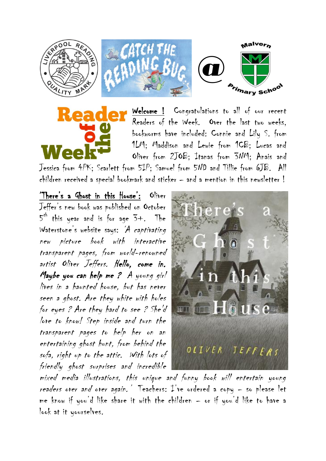

Welcome ! Congratulations to all of our recent Readers of the Week. Over the last two weeks, bookworms have included: Connie and Lily S. from 1LM; Maddison and Lewie from 1CB; Lucas and Oliver from 2JOB; Itanas from 3NM; Anais and

Jessica from 4PK; Scarlett from 5IP; Samuel from 5ND and Tillie from 6JB. All children received a special bookmark and sticker – and a mention in this newsletter !

'There's a Ghost in this House': Oliver Jeffer's new book was published on October  $5^{\text{th}}$  this year and is for age 3+. The Waterstone's website says: 'A captivating new picture book with interactive transparent pages, from world-renowned artist Oliver Jeffers. Hello, come in. Maybe you can help me ? A young girl lives in a haunted house, but has never seen a ghost. Are they white with holes for eyes ? Are they hard to see ? She'd love to know! Step inside and turn the transparent pages to help her on an entertaining ghost hunt, from behind the sofa, right up to the attic. With lots of friendly ghost surprises and incredible



mixed media illustrations, this unique and funny book will entertain young readers over and over again.' Teachers: I've ordered a copy - so please let me know if you'd like share it with the children – or if you'd like to have a look at it yourselves.